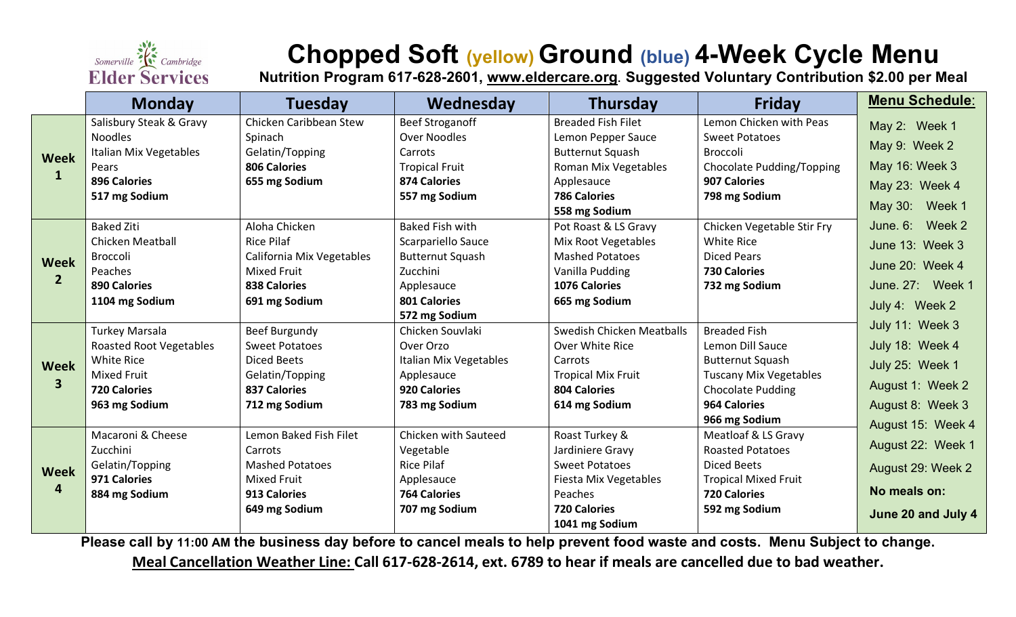

# **Chopped Soft (yellow) Ground (blue) 4-Week Cycle Menu**

**Nutrition Program 617-628-2601, [www.eldercare.org](http://www.eldercare.org/). Suggested Voluntary Contribution \$2.00 per Meal**

|                             | <b>Monday</b>                  | <b>Tuesday</b>            | Wednesday               | <b>Thursday</b>                  | <b>Friday</b>                 | <b>Menu Schedule:</b> |
|-----------------------------|--------------------------------|---------------------------|-------------------------|----------------------------------|-------------------------------|-----------------------|
| <b>Week</b><br>$\mathbf{1}$ | Salisbury Steak & Gravy        | Chicken Caribbean Stew    | <b>Beef Stroganoff</b>  | <b>Breaded Fish Filet</b>        | Lemon Chicken with Peas       | May 2: Week 1         |
|                             | <b>Noodles</b>                 | Spinach                   | <b>Over Noodles</b>     | Lemon Pepper Sauce               | <b>Sweet Potatoes</b>         |                       |
|                             | Italian Mix Vegetables         | Gelatin/Topping           | Carrots                 | <b>Butternut Squash</b>          | <b>Broccoli</b>               | May 9: Week 2         |
|                             | Pears                          | 806 Calories              | <b>Tropical Fruit</b>   | Roman Mix Vegetables             | Chocolate Pudding/Topping     | May 16: Week 3        |
|                             | <b>896 Calories</b>            | 655 mg Sodium             | <b>874 Calories</b>     | Applesauce                       | 907 Calories                  | May 23: Week 4        |
|                             | 517 mg Sodium                  |                           | 557 mg Sodium           | <b>786 Calories</b>              | 798 mg Sodium                 |                       |
|                             |                                |                           |                         | 558 mg Sodium                    |                               | May 30: Week 1        |
| Week<br>$\overline{2}$      | <b>Baked Ziti</b>              | Aloha Chicken             | <b>Baked Fish with</b>  | Pot Roast & LS Gravy             | Chicken Vegetable Stir Fry    | June. 6: Week 2       |
|                             | <b>Chicken Meatball</b>        | <b>Rice Pilaf</b>         | Scarpariello Sauce      | Mix Root Vegetables              | <b>White Rice</b>             | June 13: Week 3       |
|                             | Broccoli                       | California Mix Vegetables | <b>Butternut Squash</b> | <b>Mashed Potatoes</b>           | <b>Diced Pears</b>            | June 20: Week 4       |
|                             | Peaches                        | <b>Mixed Fruit</b>        | Zucchini                | Vanilla Pudding                  | <b>730 Calories</b>           |                       |
|                             | <b>890 Calories</b>            | <b>838 Calories</b>       | Applesauce              | <b>1076 Calories</b>             | 732 mg Sodium                 | June. 27: Week 1      |
|                             | 1104 mg Sodium                 | 691 mg Sodium             | <b>801 Calories</b>     | 665 mg Sodium                    |                               | July 4: Week 2        |
|                             |                                |                           | 572 mg Sodium           |                                  |                               | July 11: Week 3       |
| <b>Week</b><br>$\mathbf{3}$ | Turkey Marsala                 | <b>Beef Burgundy</b>      | Chicken Souvlaki        | <b>Swedish Chicken Meatballs</b> | <b>Breaded Fish</b>           |                       |
|                             | <b>Roasted Root Vegetables</b> | <b>Sweet Potatoes</b>     | Over Orzo               | Over White Rice                  | Lemon Dill Sauce              | July 18: Week 4       |
|                             | <b>White Rice</b>              | <b>Diced Beets</b>        | Italian Mix Vegetables  | Carrots                          | <b>Butternut Squash</b>       | July 25: Week 1       |
|                             | <b>Mixed Fruit</b>             | Gelatin/Topping           | Applesauce              | <b>Tropical Mix Fruit</b>        | <b>Tuscany Mix Vegetables</b> |                       |
|                             | <b>720 Calories</b>            | <b>837 Calories</b>       | 920 Calories            | <b>804 Calories</b>              | <b>Chocolate Pudding</b>      | August 1: Week 2      |
|                             | 963 mg Sodium                  | 712 mg Sodium             | 783 mg Sodium           | 614 mg Sodium                    | <b>964 Calories</b>           | August 8: Week 3      |
|                             |                                |                           |                         |                                  | 966 mg Sodium                 | August 15: Week 4     |
| <b>Week</b><br>4            | Macaroni & Cheese              | Lemon Baked Fish Filet    | Chicken with Sauteed    | Roast Turkey &                   | Meatloaf & LS Gravy           |                       |
|                             | Zucchini                       | Carrots                   | Vegetable               | Jardiniere Gravy                 | <b>Roasted Potatoes</b>       | August 22: Week 1     |
|                             | Gelatin/Topping                | <b>Mashed Potatoes</b>    | <b>Rice Pilaf</b>       | <b>Sweet Potatoes</b>            | <b>Diced Beets</b>            | August 29: Week 2     |
|                             | 971 Calories                   | <b>Mixed Fruit</b>        | Applesauce              | Fiesta Mix Vegetables            | <b>Tropical Mixed Fruit</b>   |                       |
|                             | 884 mg Sodium                  | 913 Calories              | <b>764 Calories</b>     | Peaches                          | <b>720 Calories</b>           | No meals on:          |
|                             |                                | 649 mg Sodium             | 707 mg Sodium           | <b>720 Calories</b>              | 592 mg Sodium                 | June 20 and July 4    |
|                             |                                |                           |                         | 1041 mg Sodium                   |                               |                       |

**Please call by 11:00 AM the business day before to cancel meals to help prevent food waste and costs. Menu Subject to change.** 

**Meal Cancellation Weather Line: Call 617-628-2614, ext. 6789 to hear if meals are cancelled due to bad weather.**